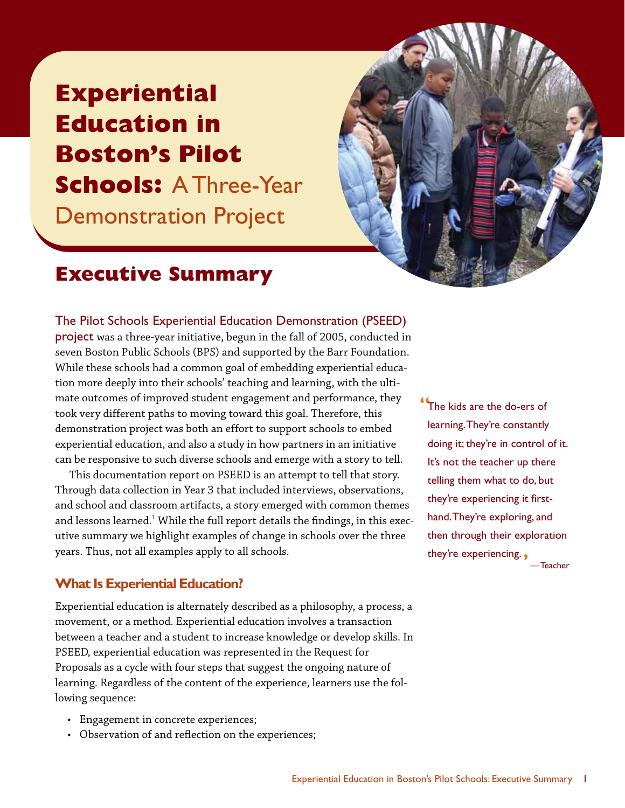# *Experiential Education in Boston's Pilot Schools:* A Three-Year Demonstration Project



# *Executive Summary*

### The Pilot Schools Experiential Education Demonstration (PSEED)

project *was a three-year initiative, begun in the fall of 2005, conducted in seven Boston Public Schools (BPS) and supported by the Barr Foundation. While these schools had a common goal of embedding experiential education more deeply into their schools' teaching and learning, with the ultimate outcomes of improved student engagement and performance, they took very different paths to moving toward this goal. Therefore, this demonstration project was both an effort to support schools to embed experiential education, and also a study in how partners in an initiative can be responsive to such diverse schools and emerge with a story to tell.*

*This documentation report on PSEED is an attempt to tell that story. Through data collection in Year 3 that included interviews, observations, and school and classroom artifacts, a story emerged with common themes and lessons learned.1 While the full report details the findings, in this executive summary we highlight examples of change in schools over the three years. Thus, not all examples apply to all schools.*

### *What Is Experiential Education?*

*Experiential education is alternately described as a philosophy, a process, a movement, or a method. Experiential education involves a transaction between a teacher and a student to increase knowledge or develop skills. In PSEED, experiential education was represented in the Request for Proposals as a cycle with four steps that suggest the ongoing nature of learning. Regardless of the content of the experience, learners use the following sequence:*

- *Engagement in concrete experiences;*
- *Observation of and reflection on the experiences;*

*"*The kids are the do-ers of learning.They're constantly doing it; they're in control of it. It's not the teacher up there telling them what to do, but they're experiencing it firsthand.They're exploring, and then through their exploration they're experiencing.*'* —Teacher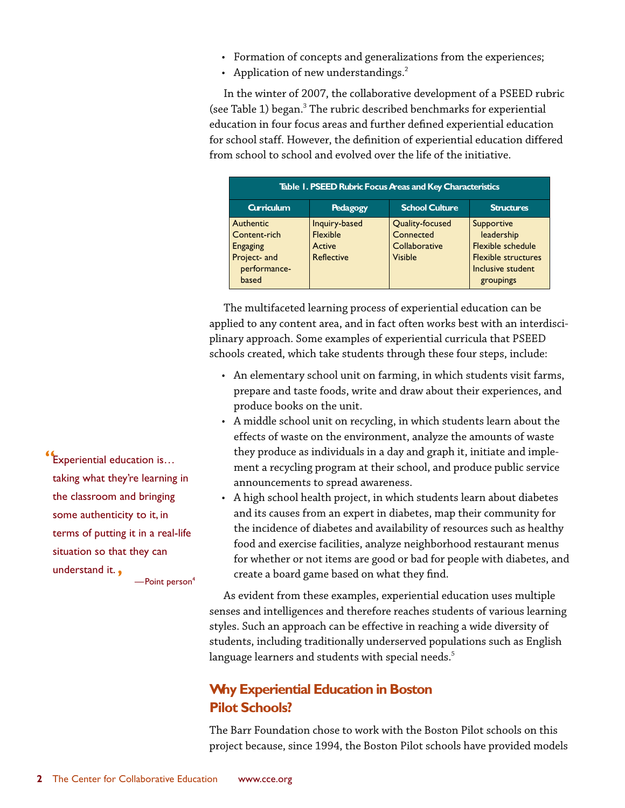- *Formation of concepts and generalizations from the experiences;*
- *Application of new understandings.2*

*In the winter of 2007, the collaborative development of a PSEED rubric (see Table 1) began.3 The rubric described benchmarks for experiential education in four focus areas and further defined experiential education for school staff. However, the definition of experiential education differed from school to school and evolved over the life of the initiative.*

| Table 1. PSEED Rubric Focus Preas and Key Characteristics                             |                                                   |                                                                 |                                                                                                                      |  |
|---------------------------------------------------------------------------------------|---------------------------------------------------|-----------------------------------------------------------------|----------------------------------------------------------------------------------------------------------------------|--|
| <b>Curriculum</b>                                                                     | Pedagogy                                          | <b>School Culture</b>                                           | <b>Structures</b>                                                                                                    |  |
| Authentic<br>Content-rich<br><b>Engaging</b><br>Project- and<br>performance-<br>based | Inquiry-based<br>Flexible<br>Active<br>Reflective | Quality-focused<br>Connected<br>Collaborative<br><b>Visible</b> | Supportive<br>leadership<br><b>Flexible schedule</b><br><b>Flexible structures</b><br>Inclusive student<br>groupings |  |

*The multifaceted learning process of experiential education can be applied to any content area, and in fact often works best with an interdisciplinary approach. Some examples of experiential curricula that PSEED schools created, which take students through these four steps, include:*

- *An elementary school unit on farming, in which students visit farms, prepare and taste foods, write and draw about their experiences, and produce books on the unit.*
- *A middle school unit on recycling, in which students learn about the effects of waste on the environment, analyze the amounts of waste they produce as individuals in a day and graph it, initiate and implement a recycling program at their school, and produce public service announcements to spread awareness.*
- *A high school health project, in which students learn about diabetes and its causes from an expert in diabetes, map their community for the incidence of diabetes and availability of resources such as healthy food and exercise facilities, analyze neighborhood restaurant menus for whether or not items are good or bad for people with diabetes, and create a board game based on what they find.*

*As evident from these examples, experiential education uses multiple senses and intelligences and therefore reaches students of various learning styles. Such an approach can be effective in reaching a wide diversity of students, including traditionally underserved populations such as English language learners and students with special needs.5*

# *Why Experiential Education in Boston Pilot Schools?*

*The Barr Foundation chose to work with the Boston Pilot schools on this project because, since 1994, the Boston Pilot schools have provided models*

*"*Experiential education is… taking what they're learning in the classroom and bringing some authenticity to it, in terms of putting it in a real-life situation so that they can understand it.*'*  $-$ Point person<sup>4</sup>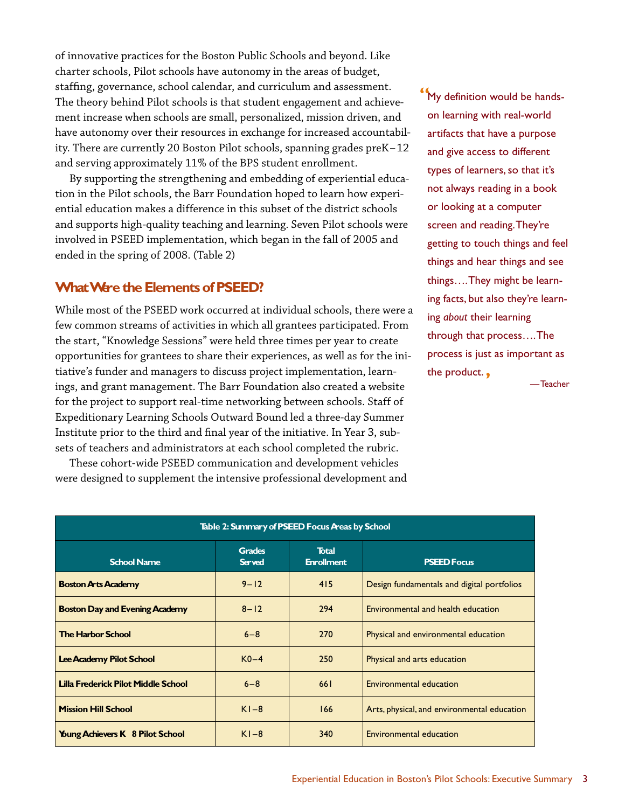*of innovative practices for the Boston Public Schools and beyond. Like charter schools, Pilot schools have autonomy in the areas of budget, staffing, governance, school calendar, and curriculum and assessment. The theory behind Pilot schools is that student engagement and achievement increase when schools are small, personalized, mission driven, and have autonomy over their resources in exchange for increased accountability. There are currently 20 Boston Pilot schools, spanning grades preK–12 and serving approximately 11% of the BPS student enrollment.*

*By supporting the strengthening and embedding of experiential education in the Pilot schools, the Barr Foundation hoped to learn how experiential education makes a difference in this subset of the district schools and supports high-quality teaching and learning. Seven Pilot schools were involved in PSEED implementation, which began in the fall of 2005 and ended in the spring of 2008. (Table 2)*

# *What Were the Elements of PSEED?*

*While most of the PSEED work occurred at individual schools, there were a few common streams of activities in which all grantees participated. From the start, "Knowledge Sessions" were held three times per year to create opportunities for grantees to share their experiences, as well as for the initiative's funder and managers to discuss project implementation, learnings, and grant management. The Barr Foundation also created a website for the project to support real-time networking between schools. Staff of Expeditionary Learning Schools Outward Bound led a three-day Summer Institute prior to the third and final year of the initiative. In Year 3, subsets of teachers and administrators at each school completed the rubric.*

*These cohort-wide PSEED communication and development vehicles were designed to supplement the intensive professional development and* *"*My definition would be handson learning with real-world artifacts that have a purpose and give access to different types of learners, so that it's not always reading in a book or looking at a computer screen and reading.They're getting to touch things and feel things and hear things and see things….They might be learning facts, but also they're learning *about* their learning through that process….The process is just as important as the product.*'*

—Teacher

| Table 2: Summary of PSEED Focus Areas by School |                         |                                   |                                             |  |  |
|-------------------------------------------------|-------------------------|-----------------------------------|---------------------------------------------|--|--|
| <b>School Name</b>                              | <b>Grades</b><br>Served | <b>Total</b><br><b>Enrollment</b> | <b>PSEED Focus</b>                          |  |  |
| <b>Boston Arts Academy</b>                      | $9 - 12$                | 415                               | Design fundamentals and digital portfolios  |  |  |
| <b>Boston Day and Evening Academy</b>           | $8 - 12$                | 294                               | Environmental and health education          |  |  |
| <b>The Harbor School</b>                        | $6 - 8$                 | 270                               | Physical and environmental education        |  |  |
| Lee Academy Pilot School                        | $K0-4$                  | 250                               | Physical and arts education                 |  |  |
| <b>Lilla Frederick Pilot Middle School</b>      | $6 - 8$                 | 661                               | Environmental education                     |  |  |
| <b>Mission Hill School</b>                      | $K1-8$                  | 166                               | Arts, physical, and environmental education |  |  |
| <b>Young Achievers K</b> 8 Pilot School         | $K1-8$                  | 340                               | Environmental education                     |  |  |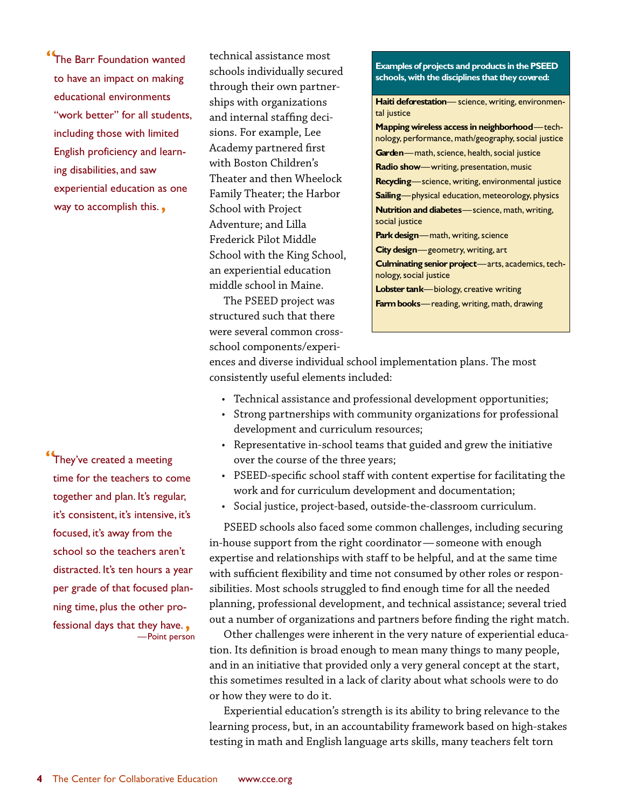*"*The Barr Foundation wanted to have an impact on making educational environments "work better" for all students, including those with limited English proficiency and learning disabilities, and saw experiential education as one way to accomplish this.*'*

*"*They've created a meeting time for the teachers to come together and plan. It's regular, it's consistent, it's intensive, it's focused, it's away from the school so the teachers aren't distracted. It's ten hours a year per grade of that focused planning time, plus the other professional days that they have.*'* —Point person *technical assistance most schools individually secured through their own partnerships with organizations and internal staffing decisions. For example, Lee Academy partnered first with Boston Children's Theater and then Wheelock Family Theater; the Harbor School with Project Adventure; and Lilla Frederick Pilot Middle School with the King School, an experiential education middle school in Maine.*

*The PSEED project was structured such that there were several common crossschool components/experi-*

#### *Examples of projects and products in the PSEED schools,with the disciplines that they covered:*

*Haiti deforestation*— science, writing, environmental justice

*Mapping wireless access in neighborhood*—technology, performance, math/geography, social justice *Garden*—math, science, health, social justice *Radio show*—writing, presentation, music *Recycling*—science, writing, environmental justice *Sailing*—physical education, meteorology, physics *Nutrition and diabetes*—science, math, writing, social justice *Park design*—math, writing, science *City design*—geometry, writing, art *Culminating senior project*—arts, academics, technology, social justice

*Lobster tank*—biology, creative writing

*Farm books*—reading, writing, math, drawing

*ences and diverse individual school implementation plans. The most consistently useful elements included:*

- *Technical assistance and professional development opportunities;*
- *Strong partnerships with community organizations for professional development and curriculum resources;*
- *Representative in-school teams that guided and grew the initiative over the course of the three years;*
- *PSEED-specific school staff with content expertise for facilitating the work and for curriculum development and documentation;*
- *Social justice, project-based, outside-the-classroom curriculum.*

*PSEED schools also faced some common challenges, including securing in-house support from the right coordinator— someone with enough expertise and relationships with staff to be helpful, and at the same time with sufficient flexibility and time not consumed by other roles or responsibilities. Most schools struggled to find enough time for all the needed planning, professional development, and technical assistance; several tried out a number of organizations and partners before finding the right match.*

*Other challenges were inherent in the very nature of experiential education. Its definition is broad enough to mean many things to many people, and in an initiative that provided only a very general concept at the start, this sometimes resulted in a lack of clarity about what schools were to do or how they were to do it.*

*Experiential education's strength is its ability to bring relevance to the learning process, but, in an accountability framework based on high-stakes testing in math and English language arts skills, many teachers felt torn*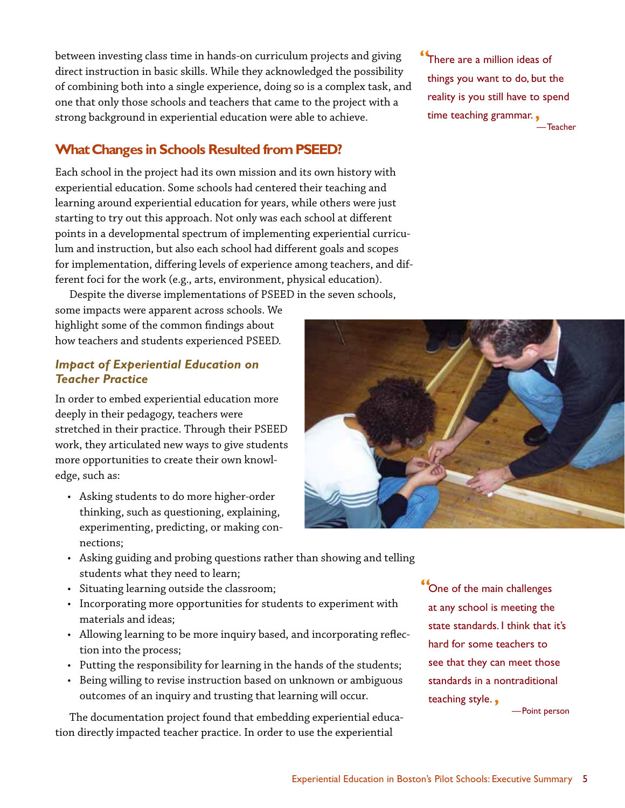*between investing class time in hands-on curriculum projects and giving direct instruction in basic skills. While they acknowledged the possibility of combining both into a single experience, doing so is a complex task, and one that only those schools and teachers that came to the project with a strong background in experiential education were able to achieve.*

# *What Changes in Schools Resulted from PSEED?*

*Each school in the project had its own mission and its own history with experiential education. Some schools had centered their teaching and learning around experiential education for years, while others were just starting to try out this approach. Not only was each school at different points in a developmental spectrum of implementing experiential curriculum and instruction, but also each school had different goals and scopes for implementation, differing levels of experience among teachers, and different foci for the work (e.g., arts, environment, physical education).*

*Despite the diverse implementations of PSEED in the seven schools, some impacts were apparent across schools. We highlight some of the common findings about how teachers and students experienced PSEED.*

### *Impact of Experiential Education on Teacher Practice*

*In order to embed experiential education more deeply in their pedagogy, teachers were stretched in their practice. Through their PSEED work, they articulated new ways to give students more opportunities to create their own knowledge, such as:*

*• Asking students to do more higher-order thinking, such as questioning, explaining, experimenting, predicting, or making connections;*



- *Asking guiding and probing questions rather than showing and telling students what they need to learn;*
- *Situating learning outside the classroom;*
- *Incorporating more opportunities for students to experiment with materials and ideas;*
- *Allowing learning to be more inquiry based, and incorporating reflection into the process;*
- *Putting the responsibility for learning in the hands of the students;*
- *Being willing to revise instruction based on unknown or ambiguous outcomes of an inquiry and trusting that learning will occur.*

*The documentation project found that embedding experiential education directly impacted teacher practice. In order to use the experiential*

*"*One of the main challenges at any school is meeting the state standards. I think that it's hard for some teachers to see that they can meet those standards in a nontraditional teaching style.*'*

—Point person

*"*There are a million ideas of things you want to do, but the reality is you still have to spend time teaching grammar.*'* —Teacher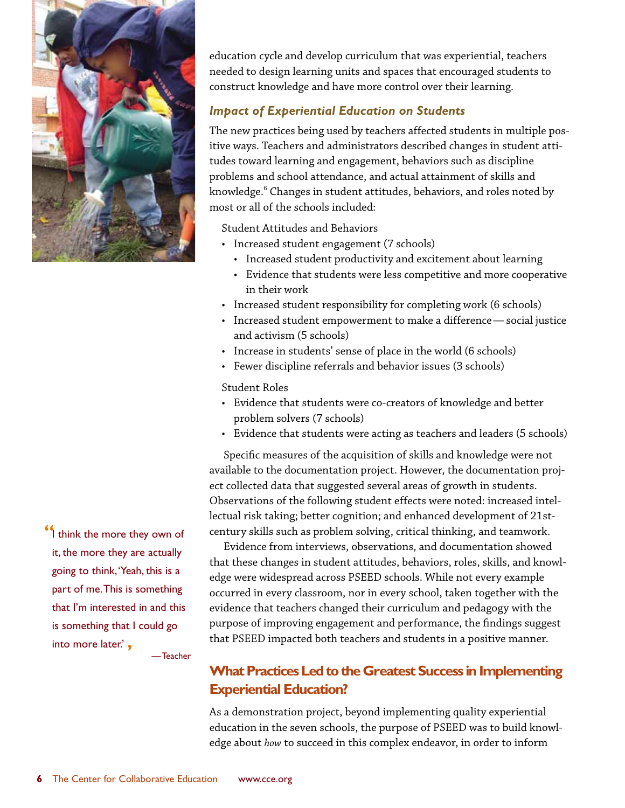

*"*I think the more they own of it, the more they are actually going to think,'Yeah, this is a part of me.This is something that I'm interested in and this is something that I could go into more later.' *'*

—Teacher

*education cycle and develop curriculum that was experiential, teachers needed to design learning units and spaces that encouraged students to construct knowledge and have more control over their learning.*

# *Impact of Experiential Education on Students*

*The new practices being used by teachers affected students in multiple positive ways. Teachers and administrators described changes in student attitudes toward learning and engagement, behaviors such as discipline problems and school attendance, and actual attainment of skills and knowledge.6 Changes in student attitudes, behaviors, and roles noted by most or all of the schools included:*

*Student Attitudes and Behaviors*

- *Increased student engagement (7 schools)*
	- *Increased student productivity and excitement about learning*
	- *Evidence that students were less competitive and more cooperative in their work*
- *Increased student responsibility for completing work (6 schools)*
- *Increased student empowerment to make a difference— social justice and activism (5 schools)*
- *Increase in students' sense of place in the world (6 schools)*
- *Fewer discipline referrals and behavior issues (3 schools)*

### *Student Roles*

- *Evidence that students were co-creators of knowledge and better problem solvers (7 schools)*
- *Evidence that students were acting as teachers and leaders (5 schools)*

*Specific measures of the acquisition of skills and knowledge were not available to the documentation project. However, the documentation project collected data that suggested several areas of growth in students. Observations of the following student effects were noted: increased intellectual risk taking; better cognition; and enhanced development of 21stcentury skills such as problem solving, critical thinking, and teamwork.*

*Evidence from interviews, observations, and documentation showed that these changes in student attitudes, behaviors, roles, skills, and knowledge were widespread across PSEED schools. While not every example occurred in every classroom, nor in every school, taken together with the evidence that teachers changed their curriculum and pedagogy with the purpose of improving engagement and performance, the findings suggest that PSEED impacted both teachers and students in a positive manner.*

# *What Practices Led to the Greatest Success in Implementing Experiential Education?*

*As a demonstration project, beyond implementing quality experiential education in the seven schools, the purpose of PSEED was to build knowledge about how to succeed in this complex endeavor, in order to inform*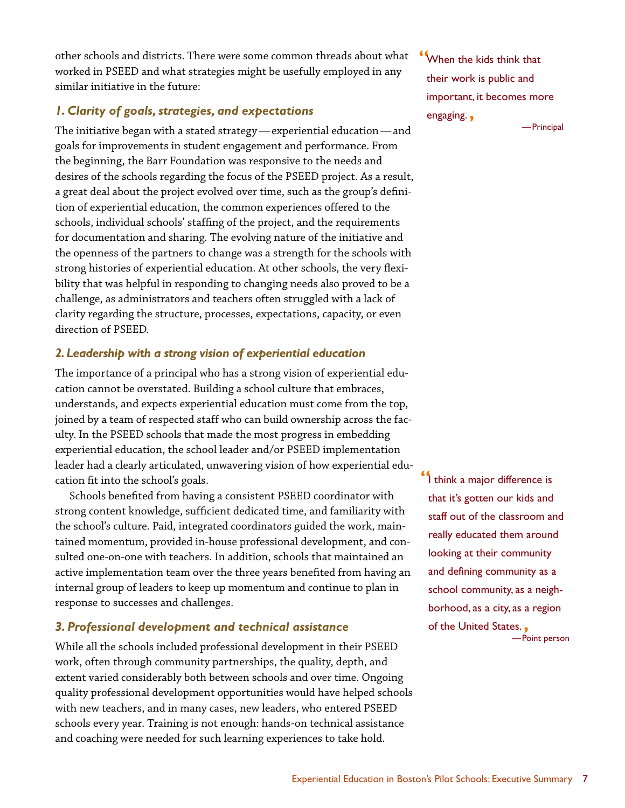*other schools and districts. There were some common threads about what worked in PSEED and what strategies might be usefully employed in any similar initiative in the future:*

### *1. Clarity of goals, strategies, and expectations*

*The initiative began with a stated strategy —experiential education—and goals for improvements in student engagement and performance. From the beginning, the Barr Foundation was responsive to the needs and desires of the schools regarding the focus of the PSEED project. As a result, a great deal about the project evolved over time, such as the group's definition of experiential education, the common experiences offered to the schools, individual schools' staffing of the project, and the requirements for documentation and sharing. The evolving nature of the initiative and the openness of the partners to change was a strength for the schools with strong histories of experiential education. At other schools, the very flexibility that was helpful in responding to changing needs also proved to be a challenge, as administrators and teachers often struggled with a lack of clarity regarding the structure, processes, expectations, capacity, or even direction of PSEED.*

### *2.Leadership with a strong vision of experiential education*

*The importance of a principal who has a strong vision of experiential education cannot be overstated. Building a school culture that embraces, understands, and expects experiential education must come from the top, joined by a team of respected staff who can build ownership across the faculty. In the PSEED schools that made the most progress in embedding experiential education, the school leader and/or PSEED implementation leader had a clearly articulated, unwavering vision of how experiential education fit into the school's goals.*

*Schools benefited from having a consistent PSEED coordinator with strong content knowledge, sufficient dedicated time, and familiarity with the school's culture. Paid, integrated coordinators guided the work, maintained momentum, provided in-house professional development, and consulted one-on-one with teachers. In addition, schools that maintained an active implementation team over the three years benefited from having an internal group of leaders to keep up momentum and continue to plan in response to successes and challenges.*

# *3. Professional development and technical assistance*

*While all the schools included professional development in their PSEED work, often through community partnerships, the quality, depth, and extent varied considerably both between schools and over time. Ongoing quality professional development opportunities would have helped schools with new teachers, and in many cases, new leaders, who entered PSEED schools every year. Training is not enough: hands-on technical assistance and coaching were needed for such learning experiences to take hold.*

*"*When the kids think that their work is public and important, it becomes more engaging.*'* —Principal

*"*I think a major difference is that it's gotten our kids and staff out of the classroom and really educated them around looking at their community and defining community as a school community, as a neighborhood, as a city, as a region of the United States.*'* —Point person